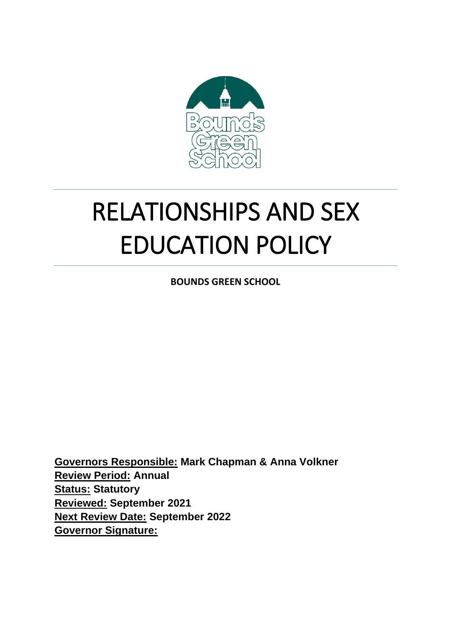

# RELATIONSHIPS AND SEX EDUCATION POLICY

**BOUNDS GREEN SCHOOL**

**Governors Responsible: Mark Chapman & Anna Volkner Review Period: Annual Status: Statutory Reviewed: September 2021 Next Review Date: September 2022 Governor Signature:**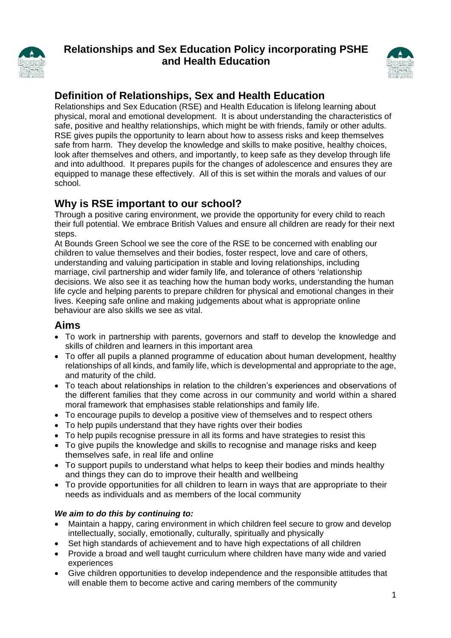

# **Relationships and Sex Education Policy incorporating PSHE and Health Education**



# **Definition of Relationships, Sex and Health Education**

Relationships and Sex Education (RSE) and Health Education is lifelong learning about physical, moral and emotional development. It is about understanding the characteristics of safe, positive and healthy relationships, which might be with friends, family or other adults. RSE gives pupils the opportunity to learn about how to assess risks and keep themselves safe from harm. They develop the knowledge and skills to make positive, healthy choices, look after themselves and others, and importantly, to keep safe as they develop through life and into adulthood. It prepares pupils for the changes of adolescence and ensures they are equipped to manage these effectively. All of this is set within the morals and values of our school.

# **Why is RSE important to our school?**

Through a positive caring environment, we provide the opportunity for every child to reach their full potential. We embrace British Values and ensure all children are ready for their next steps.

At Bounds Green School we see the core of the RSE to be concerned with enabling our children to value themselves and their bodies, foster respect, love and care of others, understanding and valuing participation in stable and loving relationships, including marriage, civil partnership and wider family life, and tolerance of others 'relationship decisions. We also see it as teaching how the human body works, understanding the human life cycle and helping parents to prepare children for physical and emotional changes in their lives. Keeping safe online and making judgements about what is appropriate online behaviour are also skills we see as vital.

# **Aims**

- To work in partnership with parents, governors and staff to develop the knowledge and skills of children and learners in this important area
- To offer all pupils a planned programme of education about human development, healthy relationships of all kinds, and family life, which is developmental and appropriate to the age, and maturity of the child.
- To teach about relationships in relation to the children's experiences and observations of the different families that they come across in our community and world within a shared moral framework that emphasises stable relationships and family life.
- To encourage pupils to develop a positive view of themselves and to respect others
- To help pupils understand that they have rights over their bodies
- To help pupils recognise pressure in all its forms and have strategies to resist this
- To give pupils the knowledge and skills to recognise and manage risks and keep themselves safe, in real life and online
- To support pupils to understand what helps to keep their bodies and minds healthy and things they can do to improve their health and wellbeing
- To provide opportunities for all children to learn in ways that are appropriate to their needs as individuals and as members of the local community

## *We aim to do this by continuing to:*

- Maintain a happy, caring environment in which children feel secure to grow and develop intellectually, socially, emotionally, culturally, spiritually and physically
- Set high standards of achievement and to have high expectations of all children
- Provide a broad and well taught curriculum where children have many wide and varied experiences
- Give children opportunities to develop independence and the responsible attitudes that will enable them to become active and caring members of the community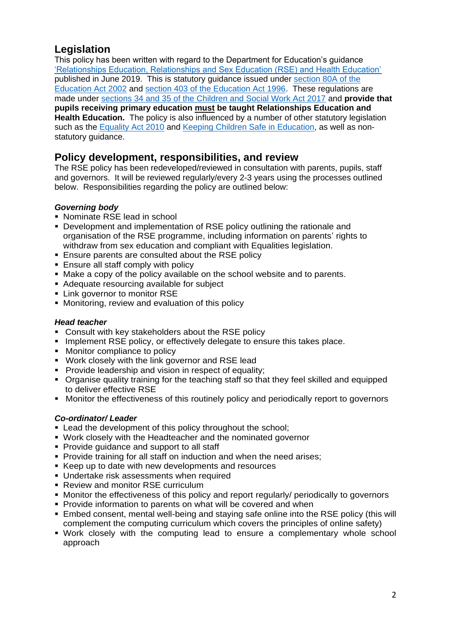# **Legislation**

This policy has been written with regard to the Department for Education's guidance ['Relationships Education, Relationships and Sex Education \(RSE\) and Health Education'](https://www.gov.uk/government/publications/relationships-education-relationships-and-sex-education-rse-and-health-education) published in June 2019. This is statutory guidance issued under [section 80A of the](http://www.legislation.gov.uk/ukpga/2002/32/section/80)  [Education Act 2002](http://www.legislation.gov.uk/ukpga/2002/32/section/80) and [section 403 of the Education Act 1996.](http://www.legislation.gov.uk/ukpga/1996/56/section/403) These regulations are made under [sections 34 and 35 of the Children and Social Work Act 2017](http://www.legislation.gov.uk/ukpga/2017/16/section/34/enacted) and **provide that pupils receiving primary education must be taught Relationships Education and Health Education.** The policy is also influenced by a number of other statutory legislation such as the [Equality Act 2010](http://www.legislation.gov.uk/ukpga/2010/15/contents) and [Keeping Children Safe in Education,](https://www.gov.uk/government/publications/keeping-children-safe-in-education--2) as well as nonstatutory guidance.

## **Policy development, responsibilities, and review**

The RSE policy has been redeveloped/reviewed in consultation with parents, pupils, staff and governors. It will be reviewed regularly/every 2-3 years using the processes outlined below. Responsibilities regarding the policy are outlined below:

## *Governing body*

- Nominate RSE lead in school
- Development and implementation of RSE policy outlining the rationale and organisation of the RSE programme, including information on parents' rights to withdraw from sex education and compliant with Equalities legislation.
- **Ensure parents are consulted about the RSE policy**
- **Ensure all staff comply with policy**
- Make a copy of the policy available on the school website and to parents.
- Adequate resourcing available for subject
- **EXECUTE:** Link governor to monitor RSE
- **Monitoring, review and evaluation of this policy**

#### *Head teacher*

- **Consult with key stakeholders about the RSE policy**
- **Implement RSE policy, or effectively delegate to ensure this takes place.**
- Monitor compliance to policy
- **Work closely with the link governor and RSE lead**
- **Provide leadership and vision in respect of equality:**
- Organise quality training for the teaching staff so that they feel skilled and equipped to deliver effective RSE
- **Monitor the effectiveness of this routinely policy and periodically report to governors**

#### *Co-ordinator/ Leader*

- **Example 1** Lead the development of this policy throughout the school;
- Work closely with the Headteacher and the nominated governor
- **Provide quidance and support to all staff**
- **Provide training for all staff on induction and when the need arises;**
- Keep up to date with new developments and resources
- Undertake risk assessments when required
- **Review and monitor RSE curriculum**
- **Monitor the effectiveness of this policy and report regularly/ periodically to governors**
- **Provide information to parents on what will be covered and when**
- Embed consent, mental well-being and staying safe online into the RSE policy (this will complement the computing curriculum which covers the principles of online safety)
- Work closely with the computing lead to ensure a complementary whole school approach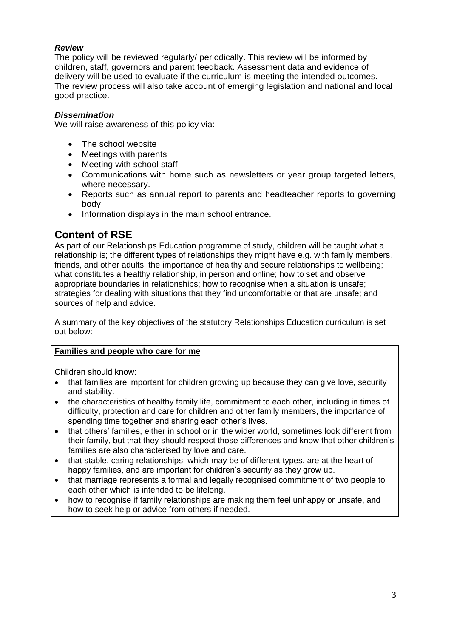#### *Review*

The policy will be reviewed regularly/ periodically. This review will be informed by children, staff, governors and parent feedback. Assessment data and evidence of delivery will be used to evaluate if the curriculum is meeting the intended outcomes. The review process will also take account of emerging legislation and national and local good practice.

#### *Dissemination*

We will raise awareness of this policy via:

- The school website
- Meetings with parents
- Meeting with school staff
- Communications with home such as newsletters or year group targeted letters, where necessary.
- Reports such as annual report to parents and headteacher reports to governing body
- Information displays in the main school entrance.

## **Content of RSE**

As part of our Relationships Education programme of study, children will be taught what a relationship is; the different types of relationships they might have e.g. with family members, friends, and other adults; the importance of healthy and secure relationships to wellbeing; what constitutes a healthy relationship, in person and online; how to set and observe appropriate boundaries in relationships; how to recognise when a situation is unsafe; strategies for dealing with situations that they find uncomfortable or that are unsafe; and sources of help and advice.

A summary of the key objectives of the statutory Relationships Education curriculum is set out below:

#### **Families and people who care for me**

Children should know:

- that families are important for children growing up because they can give love, security and stability.
- the characteristics of healthy family life, commitment to each other, including in times of difficulty, protection and care for children and other family members, the importance of spending time together and sharing each other's lives.
- that others' families, either in school or in the wider world, sometimes look different from their family, but that they should respect those differences and know that other children's families are also characterised by love and care.
- that stable, caring relationships, which may be of different types, are at the heart of happy families, and are important for children's security as they grow up.
- that marriage represents a formal and legally recognised commitment of two people to each other which is intended to be lifelong.
- how to recognise if family relationships are making them feel unhappy or unsafe, and how to seek help or advice from others if needed.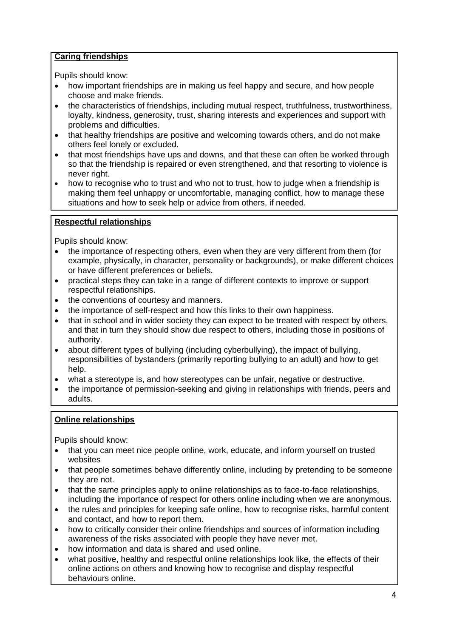## **Caring friendships**

Pupils should know:

- how important friendships are in making us feel happy and secure, and how people choose and make friends.
- the characteristics of friendships, including mutual respect, truthfulness, trustworthiness, loyalty, kindness, generosity, trust, sharing interests and experiences and support with problems and difficulties.
- that healthy friendships are positive and welcoming towards others, and do not make others feel lonely or excluded.
- that most friendships have ups and downs, and that these can often be worked through so that the friendship is repaired or even strengthened, and that resorting to violence is never right.
- how to recognise who to trust and who not to trust, how to judge when a friendship is making them feel unhappy or uncomfortable, managing conflict, how to manage these situations and how to seek help or advice from others, if needed.

#### **Respectful relationships**

Pupils should know:

- the importance of respecting others, even when they are very different from them (for example, physically, in character, personality or backgrounds), or make different choices or have different preferences or beliefs.
- practical steps they can take in a range of different contexts to improve or support respectful relationships.
- the conventions of courtesy and manners.
- the importance of self-respect and how this links to their own happiness.
- that in school and in wider society they can expect to be treated with respect by others, and that in turn they should show due respect to others, including those in positions of authority.
- about different types of bullying (including cyberbullying), the impact of bullying, responsibilities of bystanders (primarily reporting bullying to an adult) and how to get help.
- what a stereotype is, and how stereotypes can be unfair, negative or destructive.
- the importance of permission-seeking and giving in relationships with friends, peers and adults.

#### **Online relationships**

Pupils should know:

- that you can meet nice people online, work, educate, and inform yourself on trusted websites
- that people sometimes behave differently online, including by pretending to be someone they are not.
- that the same principles apply to online relationships as to face-to-face relationships, including the importance of respect for others online including when we are anonymous.
- the rules and principles for keeping safe online, how to recognise risks, harmful content and contact, and how to report them.
- how to critically consider their online friendships and sources of information including awareness of the risks associated with people they have never met.
- how information and data is shared and used online.
- what positive, healthy and respectful online relationships look like, the effects of their online actions on others and knowing how to recognise and display respectful behaviours online.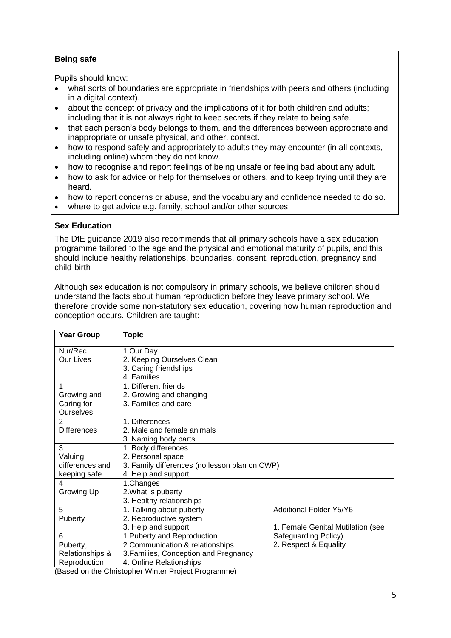#### **Being safe**

Pupils should know:

- what sorts of boundaries are appropriate in friendships with peers and others (including in a digital context).
- about the concept of privacy and the implications of it for both children and adults; including that it is not always right to keep secrets if they relate to being safe.
- that each person's body belongs to them, and the differences between appropriate and inappropriate or unsafe physical, and other, contact.
- how to respond safely and appropriately to adults they may encounter (in all contexts, including online) whom they do not know.
- how to recognise and report feelings of being unsafe or feeling bad about any adult.
- how to ask for advice or help for themselves or others, and to keep trying until they are heard.
- how to report concerns or abuse, and the vocabulary and confidence needed to do so.
- where to get advice e.g. family, school and/or other sources

#### **Sex Education**

The DfE guidance 2019 also recommends that all primary schools have a sex education programme tailored to the age and the physical and emotional maturity of pupils, and this should include healthy relationships, boundaries, consent, reproduction, pregnancy and child-birth

Although sex education is not compulsory in primary schools, we believe children should understand the facts about human reproduction before they leave primary school. We therefore provide some non-statutory sex education, covering how human reproduction and conception occurs. Children are taught:

| <b>Year Group</b>          | <b>Topic</b>                                  |                                   |
|----------------------------|-----------------------------------------------|-----------------------------------|
| Nur/Rec                    | 1.Our Day                                     |                                   |
| <b>Our Lives</b>           | 2. Keeping Ourselves Clean                    |                                   |
|                            | 3. Caring friendships                         |                                   |
|                            | 4. Families                                   |                                   |
| 1                          | 1. Different friends                          |                                   |
| Growing and                | 2. Growing and changing                       |                                   |
| Caring for                 | 3. Families and care                          |                                   |
| <b>Ourselves</b>           |                                               |                                   |
| 2                          | 1. Differences                                |                                   |
| <b>Differences</b>         | 2. Male and female animals                    |                                   |
|                            | 3. Naming body parts                          |                                   |
| 3                          | 1. Body differences                           |                                   |
| Valuing                    | 2. Personal space                             |                                   |
| differences and            | 3. Family differences (no lesson plan on CWP) |                                   |
| keeping safe               | 4. Help and support                           |                                   |
| 4                          | 1.Changes                                     |                                   |
| Growing Up                 | 2. What is puberty                            |                                   |
|                            | 3. Healthy relationships                      |                                   |
| 5                          | 1. Talking about puberty                      | Additional Folder Y5/Y6           |
| Puberty                    | 2. Reproductive system                        |                                   |
|                            | 3. Help and support                           | 1. Female Genital Mutilation (see |
| 6                          | 1. Puberty and Reproduction                   | Safeguarding Policy)              |
| Puberty,                   | 2. Communication & relationships              | 2. Respect & Equality             |
| <b>Relationships &amp;</b> | 3. Families, Conception and Pregnancy         |                                   |
| Reproduction               | 4. Online Relationships                       |                                   |

(Based on the Christopher Winter Project Programme)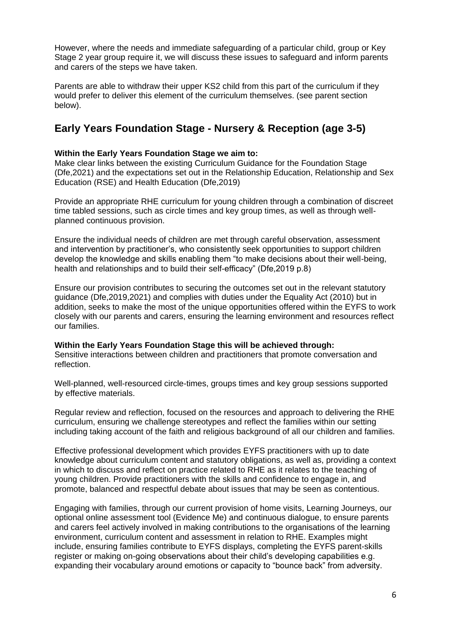However, where the needs and immediate safeguarding of a particular child, group or Key Stage 2 year group require it, we will discuss these issues to safeguard and inform parents and carers of the steps we have taken.

Parents are able to withdraw their upper KS2 child from this part of the curriculum if they would prefer to deliver this element of the curriculum themselves. (see parent section below).

# **Early Years Foundation Stage - Nursery & Reception (age 3-5)**

#### **Within the Early Years Foundation Stage we aim to:**

Make clear links between the existing Curriculum Guidance for the Foundation Stage (Dfe,2021) and the expectations set out in the Relationship Education, Relationship and Sex Education (RSE) and Health Education (Dfe,2019)

Provide an appropriate RHE curriculum for young children through a combination of discreet time tabled sessions, such as circle times and key group times, as well as through wellplanned continuous provision.

Ensure the individual needs of children are met through careful observation, assessment and intervention by practitioner's, who consistently seek opportunities to support children develop the knowledge and skills enabling them "to make decisions about their well-being, health and relationships and to build their self-efficacy" (Dfe,2019 p.8)

Ensure our provision contributes to securing the outcomes set out in the relevant statutory guidance (Dfe,2019,2021) and complies with duties under the Equality Act (2010) but in addition, seeks to make the most of the unique opportunities offered within the EYFS to work closely with our parents and carers, ensuring the learning environment and resources reflect our families.

**Within the Early Years Foundation Stage this will be achieved through:** Sensitive interactions between children and practitioners that promote conversation and reflection.

Well-planned, well-resourced circle-times, groups times and key group sessions supported by effective materials.

Regular review and reflection, focused on the resources and approach to delivering the RHE curriculum, ensuring we challenge stereotypes and reflect the families within our setting including taking account of the faith and religious background of all our children and families.

Effective professional development which provides EYFS practitioners with up to date knowledge about curriculum content and statutory obligations, as well as, providing a context in which to discuss and reflect on practice related to RHE as it relates to the teaching of young children. Provide practitioners with the skills and confidence to engage in, and promote, balanced and respectful debate about issues that may be seen as contentious.

Engaging with families, through our current provision of home visits, Learning Journeys, our optional online assessment tool (Evidence Me) and continuous dialogue, to ensure parents and carers feel actively involved in making contributions to the organisations of the learning environment, curriculum content and assessment in relation to RHE. Examples might include, ensuring families contribute to EYFS displays, completing the EYFS parent-skills register or making on-going observations about their child's developing capabilities e.g. expanding their vocabulary around emotions or capacity to "bounce back" from adversity.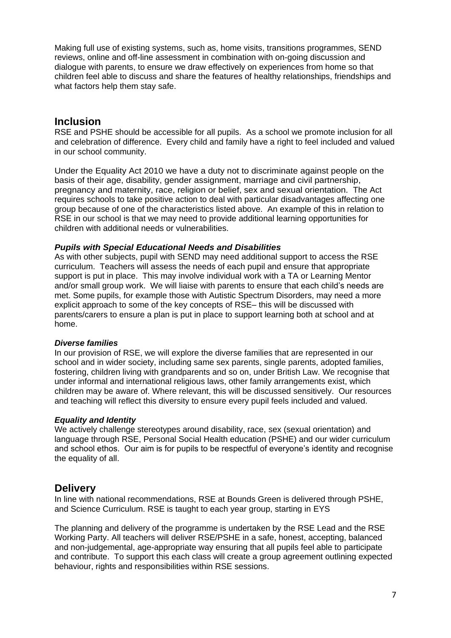Making full use of existing systems, such as, home visits, transitions programmes, SEND reviews, online and off-line assessment in combination with on-going discussion and dialogue with parents, to ensure we draw effectively on experiences from home so that children feel able to discuss and share the features of healthy relationships, friendships and what factors help them stay safe.

## **Inclusion**

RSE and PSHE should be accessible for all pupils. As a school we promote inclusion for all and celebration of difference. Every child and family have a right to feel included and valued in our school community.

Under the Equality Act 2010 we have a duty not to discriminate against people on the basis of their age, disability, gender assignment, marriage and civil partnership, pregnancy and maternity, race, religion or belief, sex and sexual orientation. The Act requires schools to take positive action to deal with particular disadvantages affecting one group because of one of the characteristics listed above. An example of this in relation to RSE in our school is that we may need to provide additional learning opportunities for children with additional needs or vulnerabilities.

#### *Pupils with Special Educational Needs and Disabilities*

As with other subjects, pupil with SEND may need additional support to access the RSE curriculum. Teachers will assess the needs of each pupil and ensure that appropriate support is put in place. This may involve individual work with a TA or Learning Mentor and/or small group work. We will liaise with parents to ensure that each child's needs are met. Some pupils, for example those with Autistic Spectrum Disorders, may need a more explicit approach to some of the key concepts of RSE– this will be discussed with parents/carers to ensure a plan is put in place to support learning both at school and at home.

#### *Diverse families*

In our provision of RSE, we will explore the diverse families that are represented in our school and in wider society, including same sex parents, single parents, adopted families, fostering, children living with grandparents and so on, under British Law. We recognise that under informal and international religious laws, other family arrangements exist, which children may be aware of. Where relevant, this will be discussed sensitively. Our resources and teaching will reflect this diversity to ensure every pupil feels included and valued.

#### *Equality and Identity*

We actively challenge stereotypes around disability, race, sex (sexual orientation) and language through RSE, Personal Social Health education (PSHE) and our wider curriculum and school ethos. Our aim is for pupils to be respectful of everyone's identity and recognise the equality of all.

## **Delivery**

In line with national recommendations, RSE at Bounds Green is delivered through PSHE, and Science Curriculum. RSE is taught to each year group, starting in EYS

The planning and delivery of the programme is undertaken by the RSE Lead and the RSE Working Party. All teachers will deliver RSE/PSHE in a safe, honest, accepting, balanced and non-judgemental, age-appropriate way ensuring that all pupils feel able to participate and contribute. To support this each class will create a group agreement outlining expected behaviour, rights and responsibilities within RSE sessions.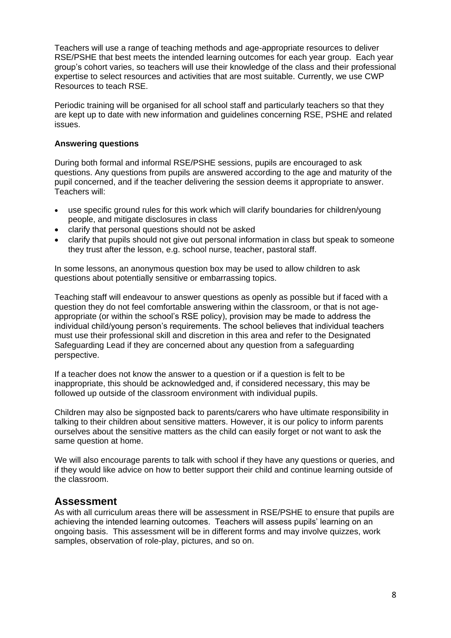Teachers will use a range of teaching methods and age-appropriate resources to deliver RSE/PSHE that best meets the intended learning outcomes for each year group. Each year group's cohort varies, so teachers will use their knowledge of the class and their professional expertise to select resources and activities that are most suitable. Currently, we use CWP Resources to teach RSE.

Periodic training will be organised for all school staff and particularly teachers so that they are kept up to date with new information and guidelines concerning RSE, PSHE and related issues.

#### **Answering questions**

During both formal and informal RSE/PSHE sessions, pupils are encouraged to ask questions. Any questions from pupils are answered according to the age and maturity of the pupil concerned, and if the teacher delivering the session deems it appropriate to answer. Teachers will:

- use specific ground rules for this work which will clarify boundaries for children/young people, and mitigate disclosures in class
- clarify that personal questions should not be asked
- clarify that pupils should not give out personal information in class but speak to someone they trust after the lesson, e.g. school nurse, teacher, pastoral staff.

In some lessons, an anonymous question box may be used to allow children to ask questions about potentially sensitive or embarrassing topics.

Teaching staff will endeavour to answer questions as openly as possible but if faced with a question they do not feel comfortable answering within the classroom, or that is not ageappropriate (or within the school's RSE policy), provision may be made to address the individual child/young person's requirements. The school believes that individual teachers must use their professional skill and discretion in this area and refer to the Designated Safeguarding Lead if they are concerned about any question from a safeguarding perspective.

If a teacher does not know the answer to a question or if a question is felt to be inappropriate, this should be acknowledged and, if considered necessary, this may be followed up outside of the classroom environment with individual pupils.

Children may also be signposted back to parents/carers who have ultimate responsibility in talking to their children about sensitive matters. However, it is our policy to inform parents ourselves about the sensitive matters as the child can easily forget or not want to ask the same question at home.

We will also encourage parents to talk with school if they have any questions or queries, and if they would like advice on how to better support their child and continue learning outside of the classroom.

## **Assessment**

As with all curriculum areas there will be assessment in RSE/PSHE to ensure that pupils are achieving the intended learning outcomes. Teachers will assess pupils' learning on an ongoing basis. This assessment will be in different forms and may involve quizzes, work samples, observation of role-play, pictures, and so on.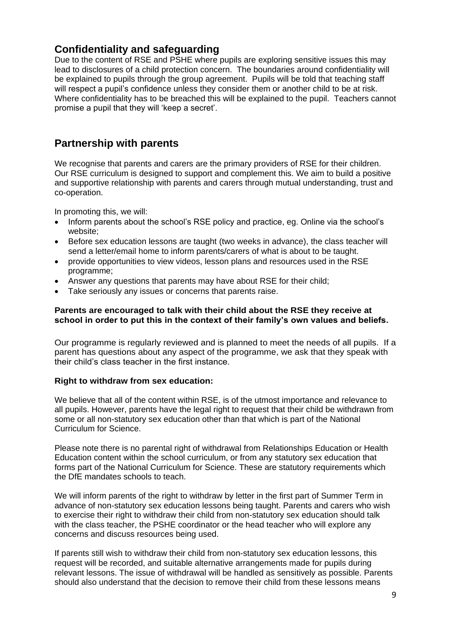# **Confidentiality and safeguarding**

Due to the content of RSE and PSHE where pupils are exploring sensitive issues this may lead to disclosures of a child protection concern. The boundaries around confidentiality will be explained to pupils through the group agreement. Pupils will be told that teaching staff will respect a pupil's confidence unless they consider them or another child to be at risk. Where confidentiality has to be breached this will be explained to the pupil. Teachers cannot promise a pupil that they will 'keep a secret'.

# **Partnership with parents**

We recognise that parents and carers are the primary providers of RSE for their children. Our RSE curriculum is designed to support and complement this. We aim to build a positive and supportive relationship with parents and carers through mutual understanding, trust and co-operation.

In promoting this, we will:

- Inform parents about the school's RSE policy and practice, eg. Online via the school's website;
- Before sex education lessons are taught (two weeks in advance), the class teacher will send a letter/email home to inform parents/carers of what is about to be taught.
- provide opportunities to view videos, lesson plans and resources used in the RSE programme;
- Answer any questions that parents may have about RSE for their child;
- Take seriously any issues or concerns that parents raise.

#### **Parents are encouraged to talk with their child about the RSE they receive at school in order to put this in the context of their family's own values and beliefs.**

Our programme is regularly reviewed and is planned to meet the needs of all pupils. If a parent has questions about any aspect of the programme, we ask that they speak with their child's class teacher in the first instance.

#### **Right to withdraw from sex education:**

We believe that all of the content within RSE, is of the utmost importance and relevance to all pupils. However, parents have the legal right to request that their child be withdrawn from some or all non-statutory sex education other than that which is part of the National Curriculum for Science.

Please note there is no parental right of withdrawal from Relationships Education or Health Education content within the school curriculum, or from any statutory sex education that forms part of the National Curriculum for Science. These are statutory requirements which the DfE mandates schools to teach.

We will inform parents of the right to withdraw by letter in the first part of Summer Term in advance of non-statutory sex education lessons being taught. Parents and carers who wish to exercise their right to withdraw their child from non-statutory sex education should talk with the class teacher, the PSHE coordinator or the head teacher who will explore any concerns and discuss resources being used.

If parents still wish to withdraw their child from non-statutory sex education lessons, this request will be recorded, and suitable alternative arrangements made for pupils during relevant lessons. The issue of withdrawal will be handled as sensitively as possible. Parents should also understand that the decision to remove their child from these lessons means